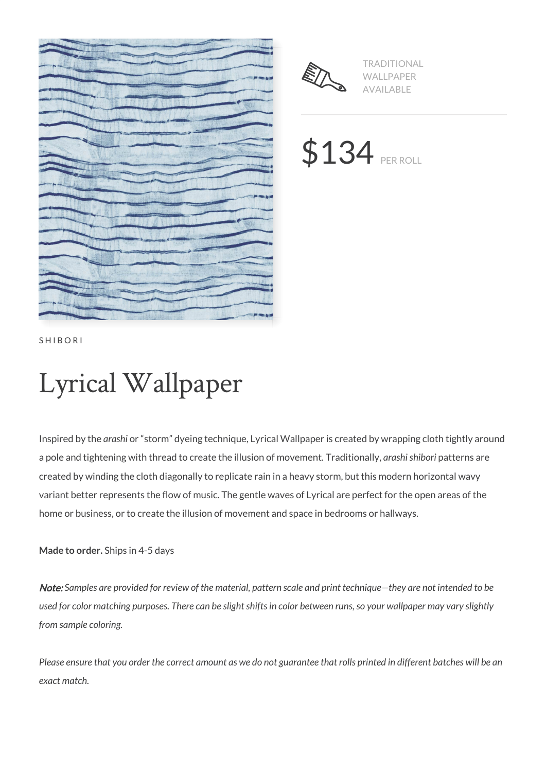



TRADITIONAL WALLPAPER AVAILABLE

\$134 PER ROLL

SHIBORI

# Lyrical Wallpaper

Inspired by the *arashi* or "storm" dyeing technique, Lyrical Wallpaper is created by wrapping cloth tightly around a pole and tightening with thread to create the illusion of movement. Traditionally, *arashi shibori* patterns are created by winding the cloth diagonally to replicate rain in a heavy storm, but this modern horizontal wavy variant better represents the flow of music. The gentle waves of Lyrical are perfect for the open areas of the home or business, or to create the illusion of movement and space in bedrooms or hallways.

**Made to order.** Ships in 4-5 days

Note: *Samples are provided for review of the material, pattern scale and print technique—they are not intended to be used for color matching purposes. There can be slight shifts in color between runs, so your wallpaper may vary slightly from sample coloring.*

*Please ensure that you order the correct amount as we do not guarantee that rolls printed in different batches will be an exact match.*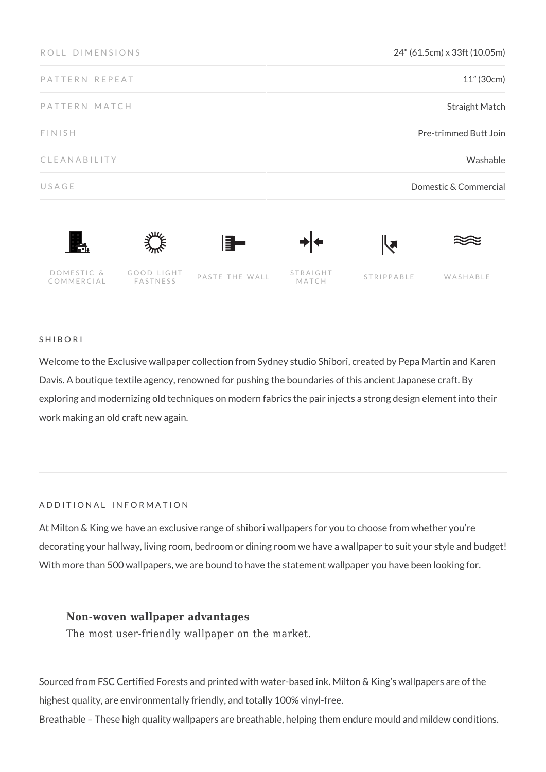| ROLL DIMENSIONS          |                        |                | 24" (61.5cm) x 33ft (10.05m) |            |          |
|--------------------------|------------------------|----------------|------------------------------|------------|----------|
| PATTERN REPEAT           |                        |                | 11" (30cm)                   |            |          |
| PATTERN MATCH            |                        |                | <b>Straight Match</b>        |            |          |
| FINISH                   |                        |                | Pre-trimmed Butt Join        |            |          |
| CLEANABILITY             |                        |                | Washable                     |            |          |
| USAGE                    |                        |                | Domestic & Commercial        |            |          |
| Ħ.                       |                        | ▌▊▅            |                              | ℝ          |          |
| DOMESTIC &<br>COMMERCIAL | GOOD LIGHT<br>FASTNESS | PASTE THE WALL | STRAIGHT<br>MATCH            | STRIPPABLE | WASHABLE |

### SHIBORI

Welcome to the Exclusive wallpaper collection from Sydney studio Shibori, created by Pepa Martin and Karen Davis. A boutique textile agency, renowned for pushing the boundaries of this ancient Japanese craft. By exploring and modernizing old techniques on modern fabrics the pair injects a strong design element into their work making an old craft new again.

#### ADDITIONAL INFORMATION

At Milton & King we have an exclusive range of shibori wallpapers for you to choose from whether you're decorating your hallway, living room, bedroom or dining room we have a wallpaper to suit your style and budget! With more than 500 wallpapers, we are bound to have the statement wallpaper you have been looking for.

### **Non-woven wallpaper advantages**

The most user-friendly wallpaper on the market.

Sourced from FSC Certified Forests and printed with water-based ink. Milton & King's wallpapers are of the highest quality, are environmentally friendly, and totally 100% vinyl-free.

Breathable – These high quality wallpapers are breathable, helping them endure mould and mildew conditions.